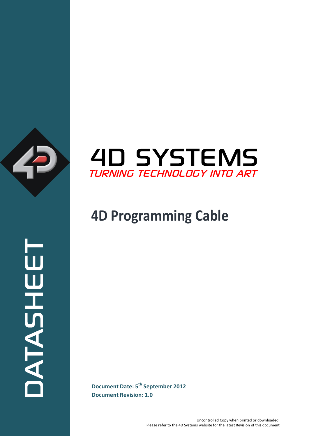



# **4D Programming Cable**

**Document Revision: 1.0**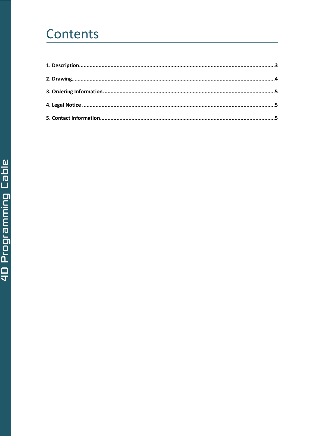# Contents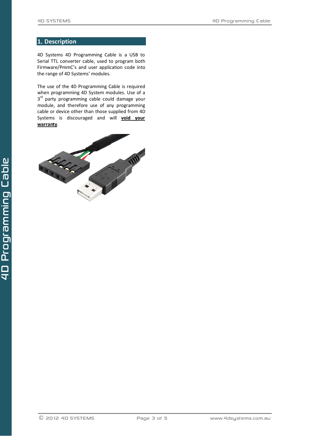### <span id="page-2-0"></span>**1. Description**

4D Systems 4D Programming Cable is a USB to Serial TTL converter cable, used to program both Firmware/PmmC's and user application code into the range of 4D Systems' modules.

The use of the 4D Programming Cable is required when programming 4D System modules. Use of a 3<sup>rd</sup> party programming cable could damage your module, and therefore use of any programming cable or device other than those supplied from 4D Systems is discouraged and will **void your warranty**.

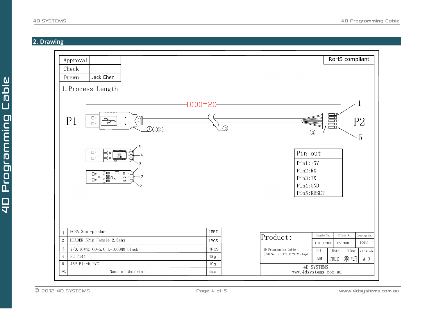<span id="page-3-0"></span> $\frac{1}{4}$ 

# **2. Drawing**

4D SYSTEMS